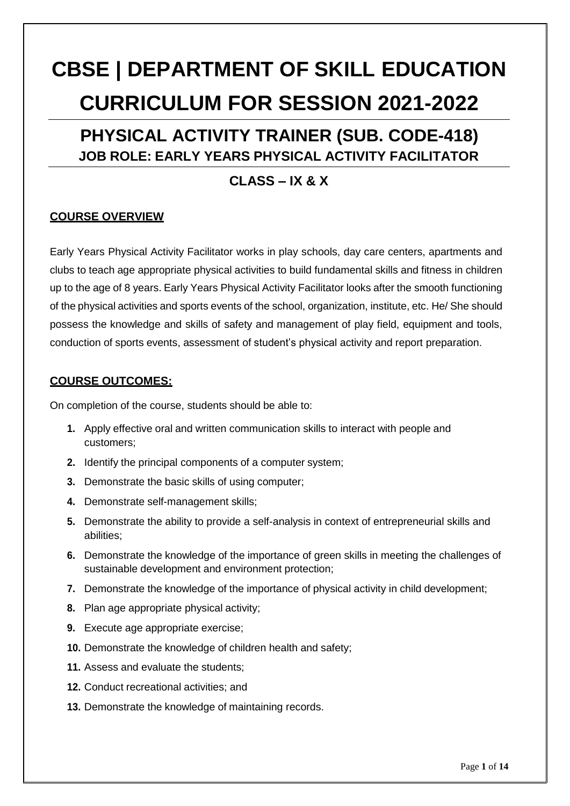# **CBSE | DEPARTMENT OF SKILL EDUCATION CURRICULUM FOR SESSION 2021-2022**

### **PHYSICAL ACTIVITY TRAINER (SUB. CODE-418) JOB ROLE: EARLY YEARS PHYSICAL ACTIVITY FACILITATOR**

### **CLASS – IX & X**

### **COURSE OVERVIEW**

Early Years Physical Activity Facilitator works in play schools, day care centers, apartments and clubs to teach age appropriate physical activities to build fundamental skills and fitness in children up to the age of 8 years. Early Years Physical Activity Facilitator looks after the smooth functioning of the physical activities and sports events of the school, organization, institute, etc. He/ She should possess the knowledge and skills of safety and management of play field, equipment and tools, conduction of sports events, assessment of student's physical activity and report preparation.

### **COURSE OUTCOMES:**

On completion of the course, students should be able to:

- **1.** Apply effective oral and written communication skills to interact with people and customers;
- **2.** Identify the principal components of a computer system;
- **3.** Demonstrate the basic skills of using computer;
- **4.** Demonstrate self-management skills;
- **5.** Demonstrate the ability to provide a self-analysis in context of entrepreneurial skills and abilities;
- **6.** Demonstrate the knowledge of the importance of green skills in meeting the challenges of sustainable development and environment protection;
- **7.** Demonstrate the knowledge of the importance of physical activity in child development;
- **8.** Plan age appropriate physical activity;
- **9.** Execute age appropriate exercise;
- **10.** Demonstrate the knowledge of children health and safety;
- **11.** Assess and evaluate the students;
- **12.** Conduct recreational activities; and
- **13.** Demonstrate the knowledge of maintaining records.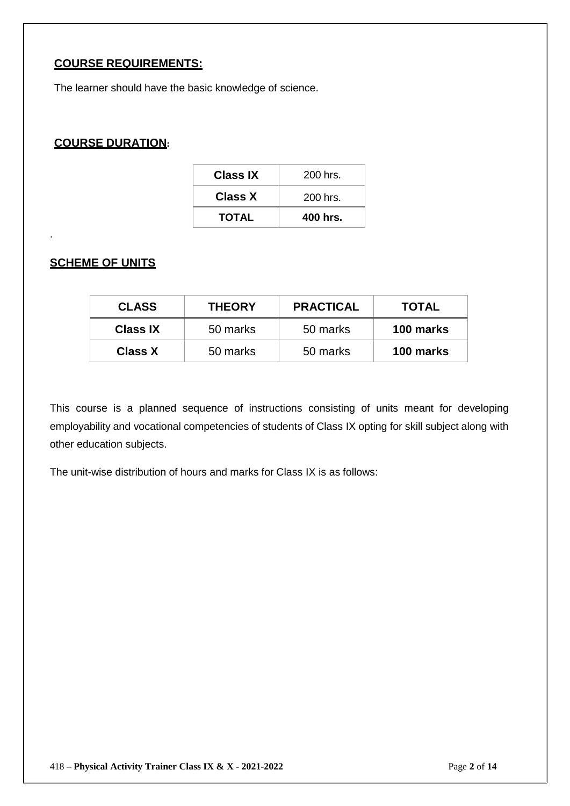### **COURSE REQUIREMENTS:**

The learner should have the basic knowledge of science.

### **COURSE DURATION:**

| <b>TOTAL</b>    | 400 hrs.   |
|-----------------|------------|
| <b>Class X</b>  | $200$ hrs. |
| <b>Class IX</b> | $200$ hrs. |

### **SCHEME OF UNITS**

.

| <b>CLASS</b>    | <b>THEORY</b> | <b>PRACTICAL</b> | <b>TOTAL</b> |
|-----------------|---------------|------------------|--------------|
| <b>Class IX</b> | 50 marks      | 50 marks         | 100 marks    |
| <b>Class X</b>  | 50 marks      | 50 marks         | 100 marks    |

This course is a planned sequence of instructions consisting of units meant for developing employability and vocational competencies of students of Class IX opting for skill subject along with other education subjects.

The unit-wise distribution of hours and marks for Class IX is as follows: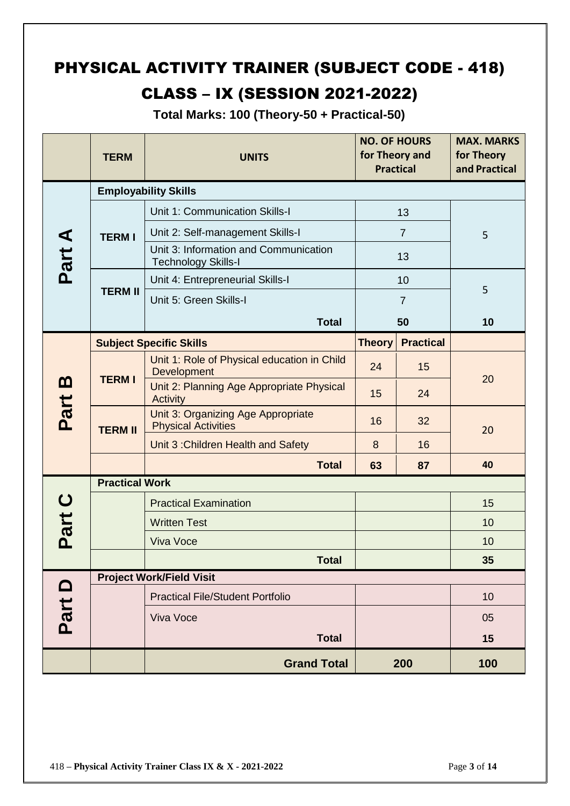## PHYSICAL ACTIVITY TRAINER (SUBJECT CODE - 418)

### CLASS – IX (SESSION 2021-2022)

**Total Marks: 100 (Theory-50 + Practical-50)**

|                  | <b>TERM</b>           | <b>UNITS</b>                                                        | <b>NO. OF HOURS</b><br>for Theory and<br><b>Practical</b> |                  | <b>MAX. MARKS</b><br>for Theory<br>and Practical |
|------------------|-----------------------|---------------------------------------------------------------------|-----------------------------------------------------------|------------------|--------------------------------------------------|
|                  |                       | <b>Employability Skills</b>                                         |                                                           |                  |                                                  |
|                  |                       | Unit 1: Communication Skills-I                                      | 13                                                        |                  | 5                                                |
|                  | <b>TERMI</b>          | Unit 2: Self-management Skills-I                                    | $\overline{7}$                                            |                  |                                                  |
| Part A           |                       | Unit 3: Information and Communication<br><b>Technology Skills-I</b> |                                                           | 13               |                                                  |
|                  |                       | Unit 4: Entrepreneurial Skills-I                                    |                                                           | 10               | 5                                                |
|                  | <b>TERM II</b>        | Unit 5: Green Skills-I                                              |                                                           | $\overline{7}$   |                                                  |
|                  |                       | <b>Total</b>                                                        |                                                           | 50               | 10                                               |
|                  |                       | <b>Subject Specific Skills</b>                                      | <b>Theory</b>                                             | <b>Practical</b> |                                                  |
|                  |                       | Unit 1: Role of Physical education in Child<br>Development          | 24                                                        | 15               |                                                  |
| <u>m</u><br>Part | <b>TERMI</b>          | Unit 2: Planning Age Appropriate Physical<br>Activity               | 15                                                        | 24               | 20                                               |
|                  | <b>TERM II</b>        | Unit 3: Organizing Age Appropriate<br><b>Physical Activities</b>    | 16                                                        | 32               | 20                                               |
|                  |                       | Unit 3: Children Health and Safety                                  | 8                                                         | 16               |                                                  |
|                  |                       | <b>Total</b>                                                        | 63                                                        | 87               | 40                                               |
|                  | <b>Practical Work</b> |                                                                     |                                                           |                  |                                                  |
| $\mathbf C$      |                       | <b>Practical Examination</b>                                        |                                                           |                  | 15                                               |
| Part             |                       | <b>Written Test</b>                                                 |                                                           |                  | 10                                               |
|                  |                       | <b>Viva Voce</b>                                                    |                                                           |                  | 10                                               |
|                  |                       | <b>Total</b>                                                        |                                                           |                  | 35                                               |
|                  |                       | <b>Project Work/Field Visit</b>                                     |                                                           |                  |                                                  |
|                  |                       | <b>Practical File/Student Portfolio</b>                             |                                                           |                  | 10                                               |
| Part D           |                       | Viva Voce                                                           |                                                           |                  | 05                                               |
|                  |                       | <b>Total</b>                                                        |                                                           |                  | 15                                               |
|                  |                       | <b>Grand Total</b>                                                  |                                                           | 200              | 100                                              |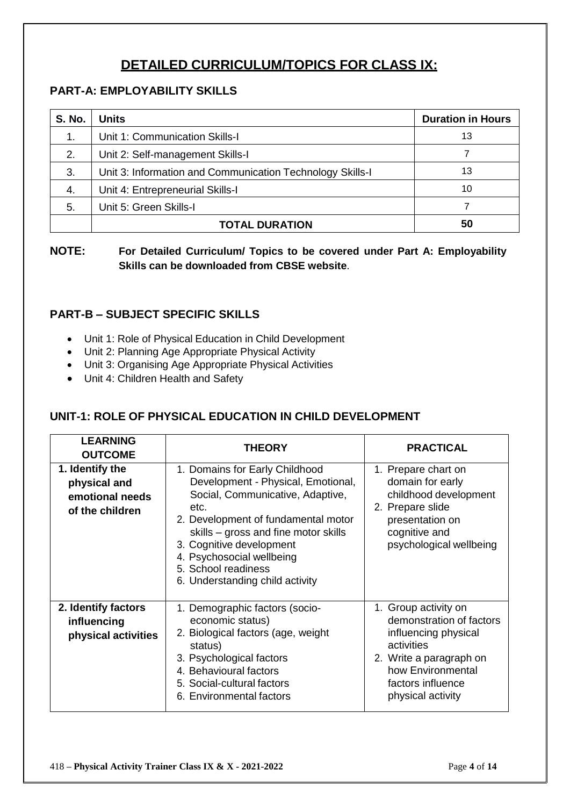### **DETAILED CURRICULUM/TOPICS FOR CLASS IX:**

### **PART-A: EMPLOYABILITY SKILLS**

| <b>S. No.</b> | <b>Units</b>                                              | <b>Duration in Hours</b> |
|---------------|-----------------------------------------------------------|--------------------------|
| $\mathbf 1$ . | Unit 1: Communication Skills-I                            | 13                       |
| 2.            | Unit 2: Self-management Skills-I                          |                          |
| 3.            | Unit 3: Information and Communication Technology Skills-I | 13                       |
| 4.            | Unit 4: Entrepreneurial Skills-I                          | 10                       |
| 5.            | Unit 5: Green Skills-I                                    |                          |
|               | <b>TOTAL DURATION</b>                                     | 50                       |

**NOTE: For Detailed Curriculum/ Topics to be covered under Part A: Employability Skills can be downloaded from CBSE website**.

### **PART-B – SUBJECT SPECIFIC SKILLS**

- Unit 1: Role of Physical Education in Child Development
- Unit 2: Planning Age Appropriate Physical Activity
- Unit 3: Organising Age Appropriate Physical Activities
- Unit 4: Children Health and Safety

### **UNIT-1: ROLE OF PHYSICAL EDUCATION IN CHILD DEVELOPMENT**

| <b>LEARNING</b><br><b>OUTCOME</b>                                     | <b>THEORY</b>                                                                                                                                                                                                                                                                                                      | <b>PRACTICAL</b>                                                                                                                                                                 |
|-----------------------------------------------------------------------|--------------------------------------------------------------------------------------------------------------------------------------------------------------------------------------------------------------------------------------------------------------------------------------------------------------------|----------------------------------------------------------------------------------------------------------------------------------------------------------------------------------|
| 1. Identify the<br>physical and<br>emotional needs<br>of the children | 1. Domains for Early Childhood<br>Development - Physical, Emotional,<br>Social, Communicative, Adaptive,<br>etc.<br>2. Development of fundamental motor<br>skills – gross and fine motor skills<br>3. Cognitive development<br>4. Psychosocial wellbeing<br>5. School readiness<br>6. Understanding child activity | 1. Prepare chart on<br>domain for early<br>childhood development<br>2. Prepare slide<br>presentation on<br>cognitive and<br>psychological wellbeing                              |
| 2. Identify factors<br>influencing<br>physical activities             | 1. Demographic factors (socio-<br>economic status)<br>2. Biological factors (age, weight<br>status)<br>3. Psychological factors<br>4. Behavioural factors<br>5. Social-cultural factors<br>6. Environmental factors                                                                                                | 1. Group activity on<br>demonstration of factors<br>influencing physical<br>activities<br>2. Write a paragraph on<br>how Environmental<br>factors influence<br>physical activity |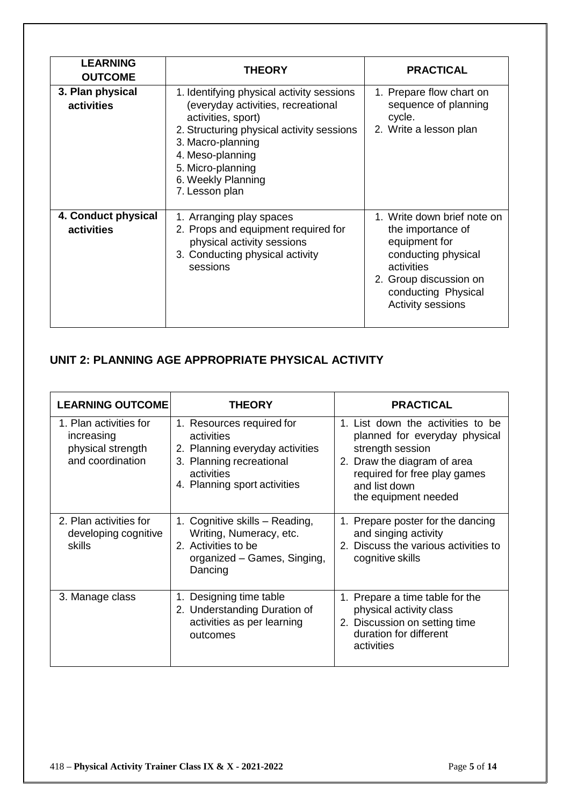| <b>LEARNING</b><br><b>OUTCOME</b> | <b>THEORY</b>                                                                                                                                                                                                                                            | <b>PRACTICAL</b>                                                                                                                                                             |
|-----------------------------------|----------------------------------------------------------------------------------------------------------------------------------------------------------------------------------------------------------------------------------------------------------|------------------------------------------------------------------------------------------------------------------------------------------------------------------------------|
| 3. Plan physical<br>activities    | 1. Identifying physical activity sessions<br>(everyday activities, recreational<br>activities, sport)<br>2. Structuring physical activity sessions<br>3. Macro-planning<br>4. Meso-planning<br>5. Micro-planning<br>6. Weekly Planning<br>7. Lesson plan | 1. Prepare flow chart on<br>sequence of planning<br>cycle.<br>2. Write a lesson plan                                                                                         |
| 4. Conduct physical<br>activities | 1. Arranging play spaces<br>2. Props and equipment required for<br>physical activity sessions<br>3. Conducting physical activity<br>sessions                                                                                                             | 1. Write down brief note on<br>the importance of<br>equipment for<br>conducting physical<br>activities<br>2. Group discussion on<br>conducting Physical<br>Activity sessions |

### **UNIT 2: PLANNING AGE APPROPRIATE PHYSICAL ACTIVITY**

| <b>LEARNING OUTCOME</b>                                                       | <b>THEORY</b>                                                                                                                                        | <b>PRACTICAL</b>                                                                                                                                                                               |
|-------------------------------------------------------------------------------|------------------------------------------------------------------------------------------------------------------------------------------------------|------------------------------------------------------------------------------------------------------------------------------------------------------------------------------------------------|
| 1. Plan activities for<br>increasing<br>physical strength<br>and coordination | 1. Resources required for<br>activities<br>2. Planning everyday activities<br>3. Planning recreational<br>activities<br>4. Planning sport activities | 1. List down the activities to be<br>planned for everyday physical<br>strength session<br>2. Draw the diagram of area<br>required for free play games<br>and list down<br>the equipment needed |
| 2. Plan activities for<br>developing cognitive<br>skills                      | 1. Cognitive skills – Reading,<br>Writing, Numeracy, etc.<br>2. Activities to be<br>organized - Games, Singing,<br>Dancing                           | 1. Prepare poster for the dancing<br>and singing activity<br>2. Discuss the various activities to<br>cognitive skills                                                                          |
| 3. Manage class                                                               | Designing time table<br>1.<br>2. Understanding Duration of<br>activities as per learning<br>outcomes                                                 | 1. Prepare a time table for the<br>physical activity class<br>2. Discussion on setting time<br>duration for different<br>activities                                                            |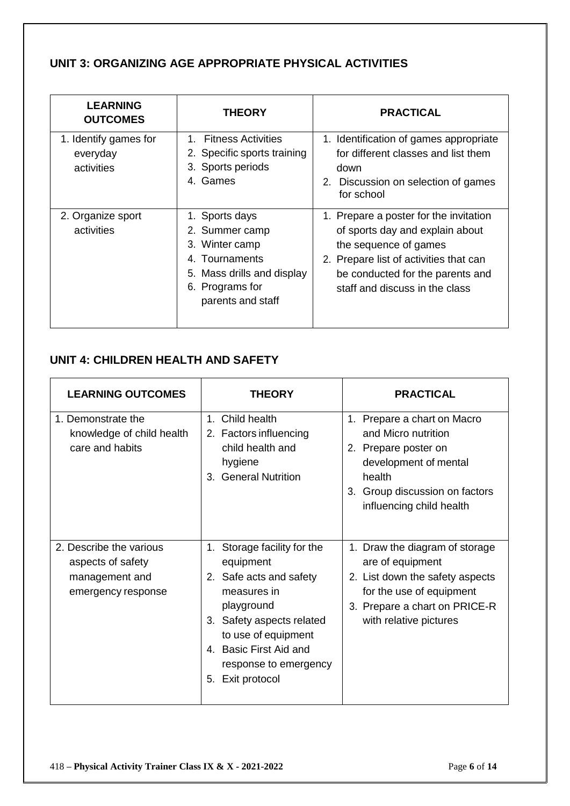### **UNIT 3: ORGANIZING AGE APPROPRIATE PHYSICAL ACTIVITIES**

| <b>LEARNING</b><br><b>OUTCOMES</b>              | THEORY                                                                                                                                        | <b>PRACTICAL</b>                                                                                                                                                                                                   |
|-------------------------------------------------|-----------------------------------------------------------------------------------------------------------------------------------------------|--------------------------------------------------------------------------------------------------------------------------------------------------------------------------------------------------------------------|
| 1. Identify games for<br>everyday<br>activities | <b>Fitness Activities</b><br>1.<br>2. Specific sports training<br>3. Sports periods<br>4. Games                                               | 1. Identification of games appropriate<br>for different classes and list them<br>down<br>2. Discussion on selection of games<br>for school                                                                         |
| 2. Organize sport<br>activities                 | 1. Sports days<br>2. Summer camp<br>3. Winter camp<br>4. Tournaments<br>Mass drills and display<br>5.<br>6. Programs for<br>parents and staff | 1. Prepare a poster for the invitation<br>of sports day and explain about<br>the sequence of games<br>2. Prepare list of activities that can<br>be conducted for the parents and<br>staff and discuss in the class |

### **UNIT 4: CHILDREN HEALTH AND SAFETY**

| <b>LEARNING OUTCOMES</b>                                                             | <b>THEORY</b>                                                                                                                                                                                                                          | <b>PRACTICAL</b>                                                                                                                                                             |
|--------------------------------------------------------------------------------------|----------------------------------------------------------------------------------------------------------------------------------------------------------------------------------------------------------------------------------------|------------------------------------------------------------------------------------------------------------------------------------------------------------------------------|
| 1. Demonstrate the<br>knowledge of child health<br>care and habits                   | 1. Child health<br>2. Factors influencing<br>child health and<br>hygiene<br>3. General Nutrition                                                                                                                                       | 1. Prepare a chart on Macro<br>and Micro nutrition<br>2. Prepare poster on<br>development of mental<br>health<br>3. Group discussion on factors<br>influencing child health  |
| 2. Describe the various<br>aspects of safety<br>management and<br>emergency response | Storage facility for the<br>$1_{-}$<br>equipment<br>2. Safe acts and safety<br>measures in<br>playground<br>3. Safety aspects related<br>to use of equipment<br>4. Basic First Aid and<br>response to emergency<br>Exit protocol<br>5. | 1. Draw the diagram of storage<br>are of equipment<br>2. List down the safety aspects<br>for the use of equipment<br>3. Prepare a chart on PRICE-R<br>with relative pictures |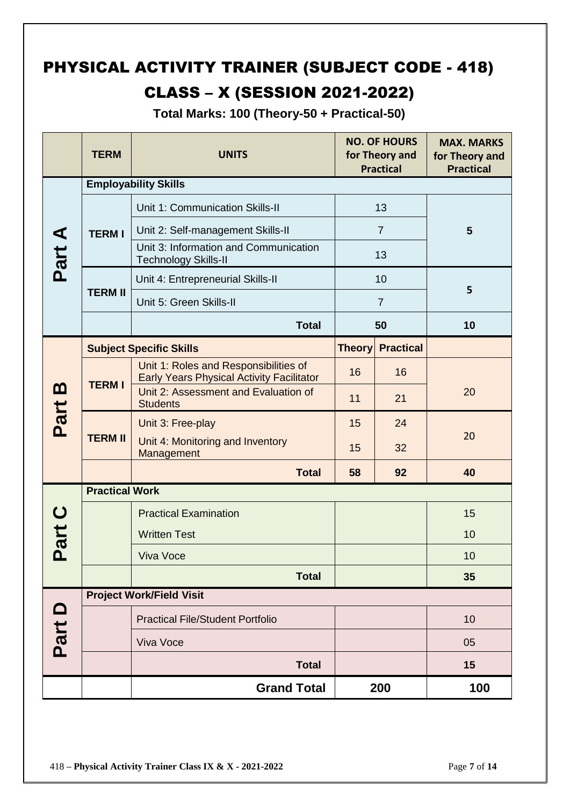### PHYSICAL ACTIVITY TRAINER (SUBJECT CODE - 418)

### CLASS – X (SESSION 2021-2022)

**Total Marks: 100 (Theory-50 + Practical-50)**

|          | <b>TERM</b>                     | <b>UNITS</b>                                                                              |               | <b>NO. OF HOURS</b><br>for Theory and<br><b>Practical</b> | <b>MAX. MARKS</b><br>for Theory and<br><b>Practical</b> |
|----------|---------------------------------|-------------------------------------------------------------------------------------------|---------------|-----------------------------------------------------------|---------------------------------------------------------|
|          |                                 | <b>Employability Skills</b>                                                               |               |                                                           |                                                         |
|          |                                 | Unit 1: Communication Skills-II                                                           | 13            |                                                           |                                                         |
|          | <b>TERMI</b>                    | Unit 2: Self-management Skills-II                                                         |               | $\overline{7}$                                            | $5\phantom{1}$                                          |
| Part A   |                                 | Unit 3: Information and Communication<br><b>Technology Skills-II</b>                      |               | 13                                                        |                                                         |
|          |                                 | Unit 4: Entrepreneurial Skills-II                                                         |               | 10                                                        |                                                         |
|          | <b>TERM II</b>                  | Unit 5: Green Skills-II                                                                   |               | $\overline{7}$                                            | 5                                                       |
|          |                                 | <b>Total</b>                                                                              |               | 50                                                        | 10                                                      |
|          |                                 | <b>Subject Specific Skills</b>                                                            | <b>Theory</b> | <b>Practical</b>                                          |                                                         |
|          |                                 | Unit 1: Roles and Responsibilities of<br><b>Early Years Physical Activity Facilitator</b> | 16            | 16                                                        |                                                         |
| <u>ന</u> | <b>TERMI</b>                    | Unit 2: Assessment and Evaluation of<br><b>Students</b>                                   | 11            | 21                                                        | 20                                                      |
| Part     | <b>TERM II</b>                  | Unit 3: Free-play                                                                         | 15            | 24                                                        |                                                         |
|          |                                 | Unit 4: Monitoring and Inventory<br>Management                                            | 15            | 32                                                        | 20                                                      |
|          |                                 | <b>Total</b>                                                                              | 58            | 92                                                        | 40                                                      |
|          | <b>Practical Work</b>           |                                                                                           |               |                                                           |                                                         |
|          |                                 | <b>Practical Examination</b>                                                              |               |                                                           | 15                                                      |
| Part     |                                 | <b>Written Test</b>                                                                       |               |                                                           | 10                                                      |
|          |                                 | <b>Viva Voce</b>                                                                          |               |                                                           | 10                                                      |
|          |                                 | <b>Total</b>                                                                              |               |                                                           | 35                                                      |
|          | <b>Project Work/Field Visit</b> |                                                                                           |               |                                                           |                                                         |
|          |                                 | <b>Practical File/Student Portfolio</b>                                                   |               |                                                           | 10                                                      |
| Part D   |                                 | Viva Voce                                                                                 |               |                                                           | 05                                                      |
|          |                                 | <b>Total</b>                                                                              |               |                                                           | 15                                                      |
|          |                                 | <b>Grand Total</b>                                                                        |               | 200                                                       | 100                                                     |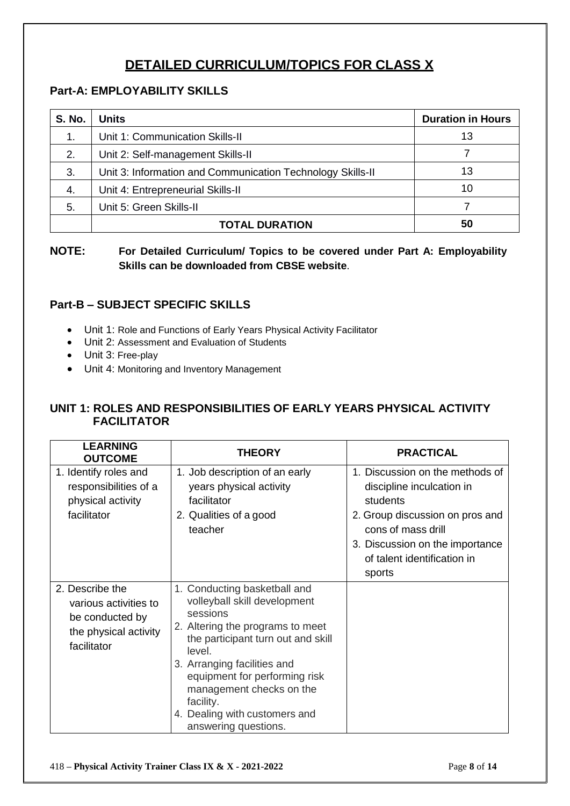### **DETAILED CURRICULUM/TOPICS FOR CLASS X**

### **Part-A: EMPLOYABILITY SKILLS**

| <b>S. No.</b> | <b>Units</b>                                               | <b>Duration in Hours</b> |
|---------------|------------------------------------------------------------|--------------------------|
| 1.            | Unit 1: Communication Skills-II                            | 13                       |
| 2.            | Unit 2: Self-management Skills-II                          |                          |
| 3.            | Unit 3: Information and Communication Technology Skills-II | 13                       |
| 4.            | Unit 4: Entrepreneurial Skills-II                          | 10                       |
| 5.            | Unit 5: Green Skills-II                                    |                          |
|               | <b>TOTAL DURATION</b>                                      | 50                       |

**NOTE: For Detailed Curriculum/ Topics to be covered under Part A: Employability Skills can be downloaded from CBSE website**.

### **Part-B – SUBJECT SPECIFIC SKILLS**

- Unit 1: Role and Functions of Early Years Physical Activity Facilitator
- Unit 2: Assessment and Evaluation of Students
- Unit 3: Free-play
- Unit 4: Monitoring and Inventory Management

### **UNIT 1: ROLES AND RESPONSIBILITIES OF EARLY YEARS PHYSICAL ACTIVITY FACILITATOR**

| <b>LEARNING</b><br><b>OUTCOME</b>                                                                   | THEORY                                                                                                                                                                                                                                                                                                                         | <b>PRACTICAL</b>                                                                                                                                                                                              |
|-----------------------------------------------------------------------------------------------------|--------------------------------------------------------------------------------------------------------------------------------------------------------------------------------------------------------------------------------------------------------------------------------------------------------------------------------|---------------------------------------------------------------------------------------------------------------------------------------------------------------------------------------------------------------|
| 1. Identify roles and<br>responsibilities of a<br>physical activity<br>facilitator                  | 1. Job description of an early<br>years physical activity<br>facilitator<br>2. Qualities of a good<br>teacher                                                                                                                                                                                                                  | 1. Discussion on the methods of<br>discipline inculcation in<br>students<br>2. Group discussion on pros and<br>cons of mass drill<br>3. Discussion on the importance<br>of talent identification in<br>sports |
| 2. Describe the<br>various activities to<br>be conducted by<br>the physical activity<br>facilitator | 1. Conducting basketball and<br>volleyball skill development<br>sessions<br>2. Altering the programs to meet<br>the participant turn out and skill<br>level.<br>3. Arranging facilities and<br>equipment for performing risk<br>management checks on the<br>facility.<br>4. Dealing with customers and<br>answering questions. |                                                                                                                                                                                                               |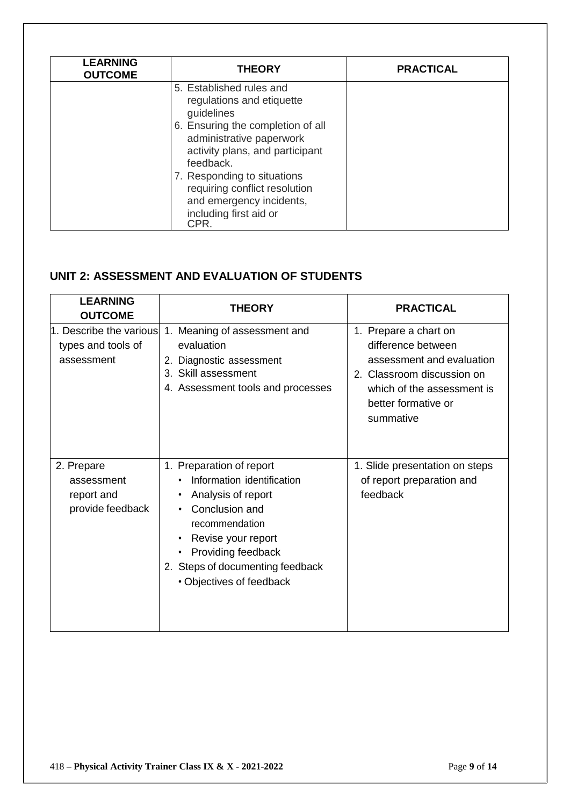| <b>LEARNING</b><br><b>OUTCOME</b> | <b>THEORY</b>                                                                                                                                                                                                                                                                                                      | <b>PRACTICAL</b> |
|-----------------------------------|--------------------------------------------------------------------------------------------------------------------------------------------------------------------------------------------------------------------------------------------------------------------------------------------------------------------|------------------|
|                                   | 5. Established rules and<br>regulations and etiquette<br>guidelines<br>6. Ensuring the completion of all<br>administrative paperwork<br>activity plans, and participant<br>feedback.<br>7. Responding to situations<br>requiring conflict resolution<br>and emergency incidents,<br>including first aid or<br>CPR. |                  |

### **UNIT 2: ASSESSMENT AND EVALUATION OF STUDENTS**

| <b>LEARNING</b><br><b>OUTCOME</b>                           | <b>THEORY</b>                                                                                                                                                                                                                                                                    | <b>PRACTICAL</b>                                                                                                                                                         |
|-------------------------------------------------------------|----------------------------------------------------------------------------------------------------------------------------------------------------------------------------------------------------------------------------------------------------------------------------------|--------------------------------------------------------------------------------------------------------------------------------------------------------------------------|
| 1. Describe the various<br>types and tools of<br>assessment | 1. Meaning of assessment and<br>evaluation<br>2. Diagnostic assessment<br>3. Skill assessment<br>4. Assessment tools and processes                                                                                                                                               | 1. Prepare a chart on<br>difference between<br>assessment and evaluation<br>2. Classroom discussion on<br>which of the assessment is<br>better formative or<br>summative |
| 2. Prepare<br>assessment<br>report and<br>provide feedback  | 1. Preparation of report<br>Information identification<br>Analysis of report<br>$\bullet$<br>Conclusion and<br>$\bullet$<br>recommendation<br>Revise your report<br>$\bullet$<br>Providing feedback<br>$\bullet$<br>2. Steps of documenting feedback<br>• Objectives of feedback | 1. Slide presentation on steps<br>of report preparation and<br>feedback                                                                                                  |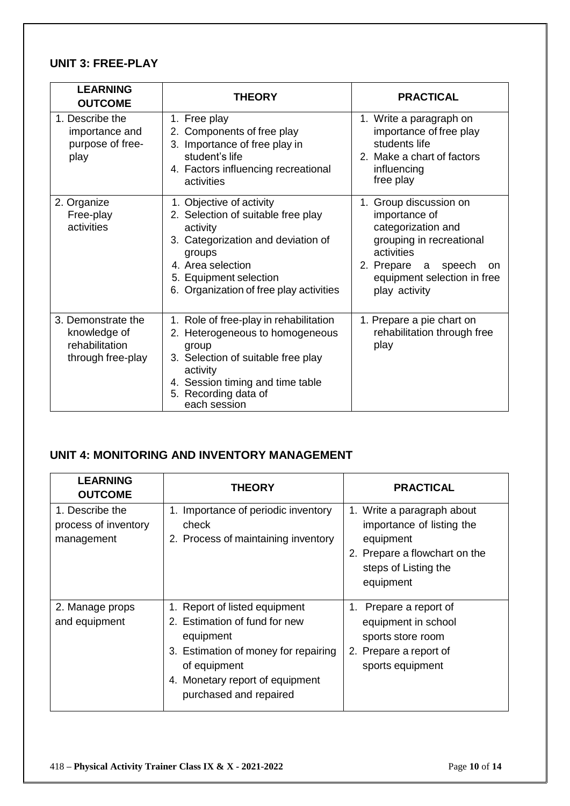### **UNIT 3: FREE-PLAY**

| <b>LEARNING</b><br><b>OUTCOME</b>                                         | <b>THEORY</b>                                                                                                                                                                                                        | <b>PRACTICAL</b>                                                                                                                                                                        |
|---------------------------------------------------------------------------|----------------------------------------------------------------------------------------------------------------------------------------------------------------------------------------------------------------------|-----------------------------------------------------------------------------------------------------------------------------------------------------------------------------------------|
| 1. Describe the<br>importance and<br>purpose of free-<br>play             | 1. Free play<br>2. Components of free play<br>3. Importance of free play in<br>student's life<br>4. Factors influencing recreational<br>activities                                                                   | 1. Write a paragraph on<br>importance of free play<br>students life<br>2. Make a chart of factors<br>influencing<br>free play                                                           |
| 2. Organize<br>Free-play<br>activities                                    | 1. Objective of activity<br>2. Selection of suitable free play<br>activity<br>3. Categorization and deviation of<br>groups<br>4. Area selection<br>5. Equipment selection<br>6. Organization of free play activities | 1. Group discussion on<br>importance of<br>categorization and<br>grouping in recreational<br>activities<br>2. Prepare a<br>speech<br>on<br>equipment selection in free<br>play activity |
| 3. Demonstrate the<br>knowledge of<br>rehabilitation<br>through free-play | 1. Role of free-play in rehabilitation<br>2. Heterogeneous to homogeneous<br>group<br>3. Selection of suitable free play<br>activity<br>4. Session timing and time table<br>5. Recording data of<br>each session     | 1. Prepare a pie chart on<br>rehabilitation through free<br>play                                                                                                                        |

### **UNIT 4: MONITORING AND INVENTORY MANAGEMENT**

| <b>LEARNING</b><br><b>OUTCOME</b>                     | <b>THEORY</b>                                                                                                                                                                                    | <b>PRACTICAL</b>                                                                                                                           |
|-------------------------------------------------------|--------------------------------------------------------------------------------------------------------------------------------------------------------------------------------------------------|--------------------------------------------------------------------------------------------------------------------------------------------|
| 1. Describe the<br>process of inventory<br>management | Importance of periodic inventory<br>1.<br>check<br>2. Process of maintaining inventory                                                                                                           | 1. Write a paragraph about<br>importance of listing the<br>equipment<br>2. Prepare a flowchart on the<br>steps of Listing the<br>equipment |
| 2. Manage props<br>and equipment                      | 1. Report of listed equipment<br>2. Estimation of fund for new<br>equipment<br>3. Estimation of money for repairing<br>of equipment<br>4. Monetary report of equipment<br>purchased and repaired | 1. Prepare a report of<br>equipment in school<br>sports store room<br>2. Prepare a report of<br>sports equipment                           |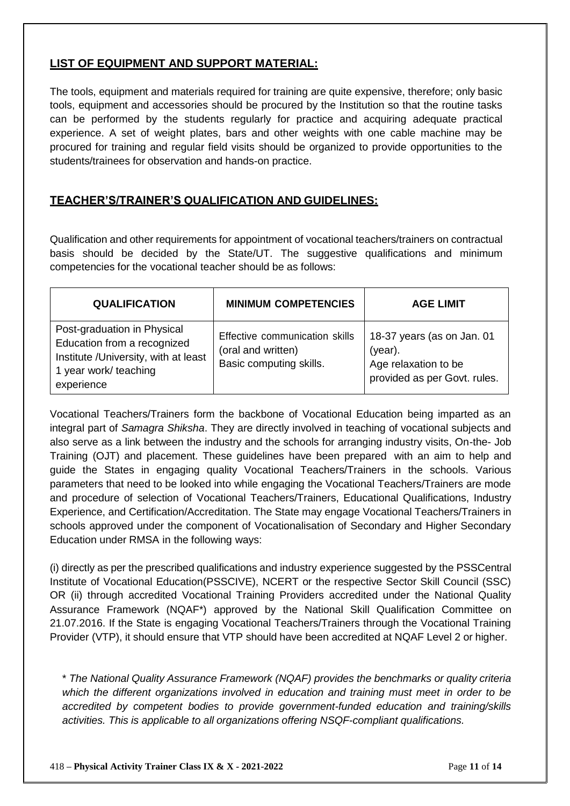### **LIST OF EQUIPMENT AND SUPPORT MATERIAL:**

The tools, equipment and materials required for training are quite expensive, therefore; only basic tools, equipment and accessories should be procured by the Institution so that the routine tasks can be performed by the students regularly for practice and acquiring adequate practical experience. A set of weight plates, bars and other weights with one cable machine may be procured for training and regular field visits should be organized to provide opportunities to the students/trainees for observation and hands-on practice.

#### **TEACHER'S/TRAINER'S QUALIFICATION AND GUIDELINES:**

Qualification and other requirements for appointment of vocational teachers/trainers on contractual basis should be decided by the State/UT. The suggestive qualifications and minimum competencies for the vocational teacher should be as follows:

| <b>QUALIFICATION</b>                                                                                                                       | <b>MINIMUM COMPETENCIES</b>                                                     | <b>AGE LIMIT</b>                                                                              |
|--------------------------------------------------------------------------------------------------------------------------------------------|---------------------------------------------------------------------------------|-----------------------------------------------------------------------------------------------|
| Post-graduation in Physical<br>Education from a recognized<br>Institute / University, with at least<br>1 year work/ teaching<br>experience | Effective communication skills<br>(oral and written)<br>Basic computing skills. | 18-37 years (as on Jan. 01<br>(year).<br>Age relaxation to be<br>provided as per Govt. rules. |

Vocational Teachers/Trainers form the backbone of Vocational Education being imparted as an integral part of *Samagra Shiksha*. They are directly involved in teaching of vocational subjects and also serve as a link between the industry and the schools for arranging industry visits, On-the- Job Training (OJT) and placement. These guidelines have been prepared with an aim to help and guide the States in engaging quality Vocational Teachers/Trainers in the schools. Various parameters that need to be looked into while engaging the Vocational Teachers/Trainers are mode and procedure of selection of Vocational Teachers/Trainers, Educational Qualifications, Industry Experience, and Certification/Accreditation. The State may engage Vocational Teachers/Trainers in schools approved under the component of Vocationalisation of Secondary and Higher Secondary Education under RMSA in the following ways:

(i) directly as per the prescribed qualifications and industry experience suggested by the PSSCentral Institute of Vocational Education(PSSCIVE), NCERT or the respective Sector Skill Council (SSC) OR (ii) through accredited Vocational Training Providers accredited under the National Quality Assurance Framework (NQAF\*) approved by the National Skill Qualification Committee on 21.07.2016. If the State is engaging Vocational Teachers/Trainers through the Vocational Training Provider (VTP), it should ensure that VTP should have been accredited at NQAF Level 2 or higher.

\* *The National Quality Assurance Framework (NQAF) provides the benchmarks or quality criteria which the different organizations involved in education and training must meet in order to be accredited by competent bodies to provide government-funded education and training/skills activities. This is applicable to all organizations offering NSQF-compliant qualifications.*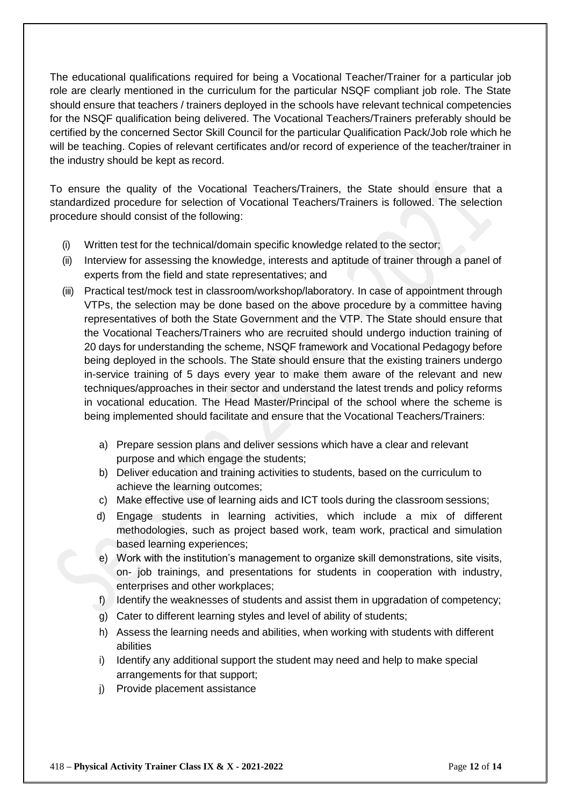The educational qualifications required for being a Vocational Teacher/Trainer for a particular job role are clearly mentioned in the curriculum for the particular NSQF compliant job role. The State should ensure that teachers / trainers deployed in the schools have relevant technical competencies for the NSQF qualification being delivered. The Vocational Teachers/Trainers preferably should be certified by the concerned Sector Skill Council for the particular Qualification Pack/Job role which he will be teaching. Copies of relevant certificates and/or record of experience of the teacher/trainer in the industry should be kept as record.

To ensure the quality of the Vocational Teachers/Trainers, the State should ensure that a standardized procedure for selection of Vocational Teachers/Trainers is followed. The selection procedure should consist of the following:

- (i) Written test for the technical/domain specific knowledge related to the sector;
- (ii) Interview for assessing the knowledge, interests and aptitude of trainer through a panel of experts from the field and state representatives; and
- (iii) Practical test/mock test in classroom/workshop/laboratory. In case of appointment through VTPs, the selection may be done based on the above procedure by a committee having representatives of both the State Government and the VTP. The State should ensure that the Vocational Teachers/Trainers who are recruited should undergo induction training of 20 days for understanding the scheme, NSQF framework and Vocational Pedagogy before being deployed in the schools. The State should ensure that the existing trainers undergo in-service training of 5 days every year to make them aware of the relevant and new techniques/approaches in their sector and understand the latest trends and policy reforms in vocational education. The Head Master/Principal of the school where the scheme is being implemented should facilitate and ensure that the Vocational Teachers/Trainers:
	- a) Prepare session plans and deliver sessions which have a clear and relevant purpose and which engage the students;
	- b) Deliver education and training activities to students, based on the curriculum to achieve the learning outcomes;
	- c) Make effective use of learning aids and ICT tools during the classroom sessions;
	- d) Engage students in learning activities, which include a mix of different methodologies, such as project based work, team work, practical and simulation based learning experiences;
	- e) Work with the institution's management to organize skill demonstrations, site visits, on- job trainings, and presentations for students in cooperation with industry, enterprises and other workplaces;
	- f) Identify the weaknesses of students and assist them in upgradation of competency;
	- g) Cater to different learning styles and level of ability of students;
	- h) Assess the learning needs and abilities, when working with students with different abilities
	- i) Identify any additional support the student may need and help to make special arrangements for that support;
	- j) Provide placement assistance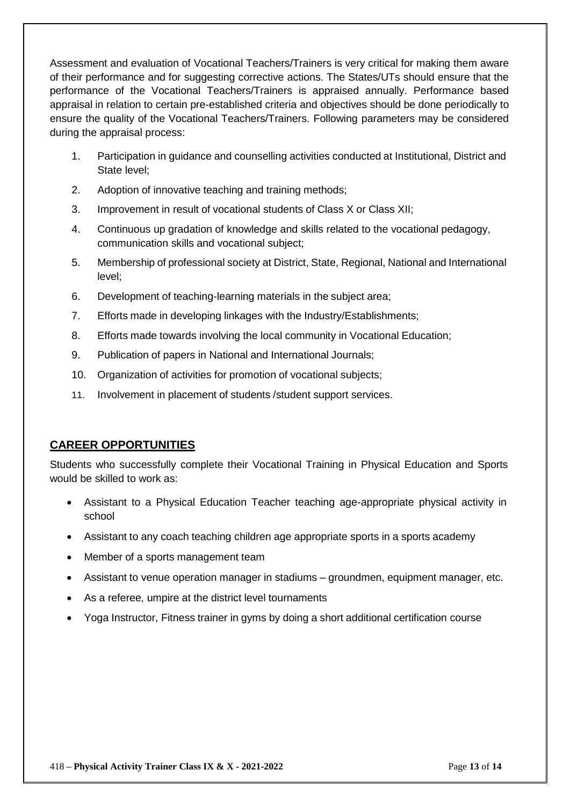Assessment and evaluation of Vocational Teachers/Trainers is very critical for making them aware of their performance and for suggesting corrective actions. The States/UTs should ensure that the performance of the Vocational Teachers/Trainers is appraised annually. Performance based appraisal in relation to certain pre-established criteria and objectives should be done periodically to ensure the quality of the Vocational Teachers/Trainers. Following parameters may be considered during the appraisal process:

- 1. Participation in guidance and counselling activities conducted at Institutional, District and State level;
- 2. Adoption of innovative teaching and training methods;
- 3. Improvement in result of vocational students of Class X or Class XII;
- 4. Continuous up gradation of knowledge and skills related to the vocational pedagogy, communication skills and vocational subject;
- 5. Membership of professional society at District, State, Regional, National and International level;
- 6. Development of teaching-learning materials in the subject area;
- 7. Efforts made in developing linkages with the Industry/Establishments;
- 8. Efforts made towards involving the local community in Vocational Education;
- 9. Publication of papers in National and International Journals;
- 10. Organization of activities for promotion of vocational subjects;
- 11. Involvement in placement of students /student support services.

#### **CAREER OPPORTUNITIES**

Students who successfully complete their Vocational Training in Physical Education and Sports would be skilled to work as:

- Assistant to a Physical Education Teacher teaching age-appropriate physical activity in school
- Assistant to any coach teaching children age appropriate sports in a sports academy
- Member of a sports management team
- Assistant to venue operation manager in stadiums groundmen, equipment manager, etc.
- As a referee, umpire at the district level tournaments
- Yoga Instructor, Fitness trainer in gyms by doing a short additional certification course